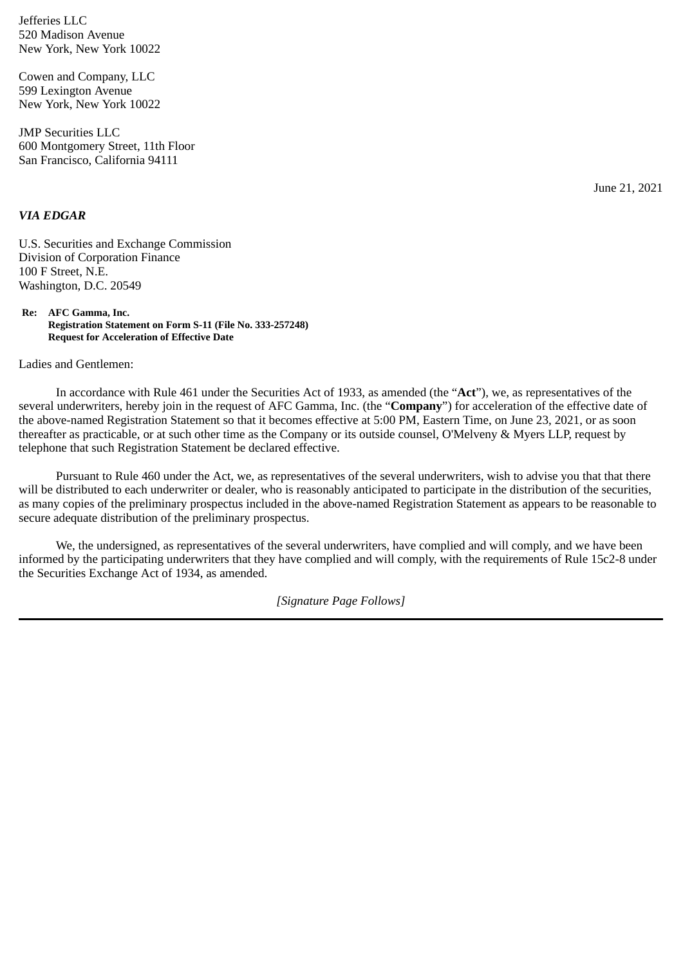Jefferies LLC 520 Madison Avenue New York, New York 10022

Cowen and Company, LLC 599 Lexington Avenue New York, New York 10022

JMP Securities LLC 600 Montgomery Street, 11th Floor San Francisco, California 94111

June 21, 2021

## *VIA EDGAR*

U.S. Securities and Exchange Commission Division of Corporation Finance 100 F Street, N.E. Washington, D.C. 20549

**Re: AFC Gamma, Inc. Registration Statement on Form S-11 (File No. 333-257248) Request for Acceleration of Effective Date**

Ladies and Gentlemen:

In accordance with Rule 461 under the Securities Act of 1933, as amended (the "**Act**"), we, as representatives of the several underwriters, hereby join in the request of AFC Gamma, Inc. (the "**Company**") for acceleration of the effective date of the above-named Registration Statement so that it becomes effective at 5:00 PM, Eastern Time, on June 23, 2021, or as soon thereafter as practicable, or at such other time as the Company or its outside counsel, O'Melveny & Myers LLP, request by telephone that such Registration Statement be declared effective.

Pursuant to Rule 460 under the Act, we, as representatives of the several underwriters, wish to advise you that that there will be distributed to each underwriter or dealer, who is reasonably anticipated to participate in the distribution of the securities, as many copies of the preliminary prospectus included in the above-named Registration Statement as appears to be reasonable to secure adequate distribution of the preliminary prospectus.

We, the undersigned, as representatives of the several underwriters, have complied and will comply, and we have been informed by the participating underwriters that they have complied and will comply, with the requirements of Rule 15c2-8 under the Securities Exchange Act of 1934, as amended.

*[Signature Page Follows]*